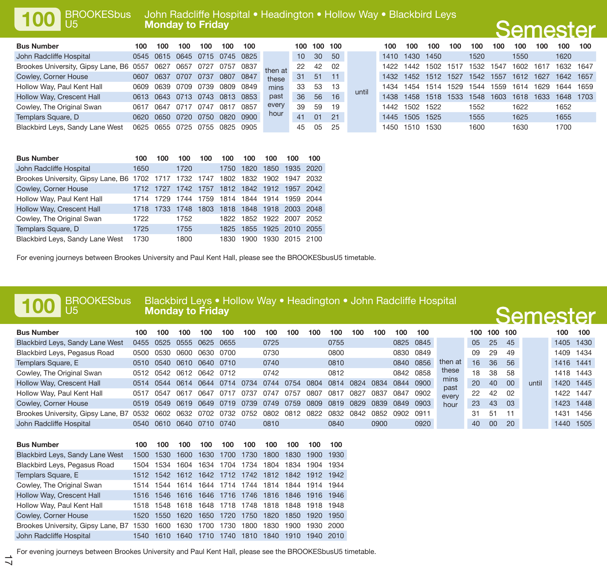**100**

U5

### **Monday to Friday** John Radcliffe Hospital • Headington • Hollow Way • Blackbird Leys

| <b>Bus Number</b>                  | 100    | 100  | 100                      | 100  | 100  | 100    |         | 100             | 100 | 100 |       | 100   | 100  | 100  | 100  | 100  | 100  | 100  | 100  | 100       | 100  |
|------------------------------------|--------|------|--------------------------|------|------|--------|---------|-----------------|-----|-----|-------|-------|------|------|------|------|------|------|------|-----------|------|
| John Radcliffe Hospital            |        |      | 0545 0615 0645 0715 0745 |      |      | 0825   |         | 10 <sup>1</sup> | 30  | 50  |       | 1410  | 1430 | 1450 |      | 1520 |      | 1550 |      | 1620      |      |
| Brookes University, Gipsy Lane, B6 | 0557   | 0627 | 0657                     | 0727 | 0757 | 0837   | then at | 22              | 42  | 02  |       | 1422  | 1442 | 1502 | 1517 | 1532 | 1547 | 1602 | 161  | 1632      | 1647 |
| Cowley, Corner House               | 0607   | 0637 | 0707                     | 0737 | 0807 | 0847   | these   | 31              | 51  | 11  |       | 1432  | 1452 | 1512 | 1527 | 1542 | 1557 | 1612 | 1627 | 1642      | 1657 |
| Hollow Way, Paul Kent Hall         | 0609   | 0639 | 0709                     | 0739 | 0809 | 0849   | mins    | 33              | 53  | 13  |       | 1434  | 1454 | 1514 | 1529 | 1544 | 1559 | 1614 | 1629 | 1644      | 1659 |
| Hollow Way, Crescent Hall          | 0613   | 0643 | 0713                     | 0743 | 0813 | - 0853 | past    | 36              | 56  | 16  | until | 1438  | 1458 | 1518 | 1533 | 1548 | 1603 | 1618 | 1633 | 1648 1703 |      |
| Cowley, The Original Swan          | 0617   | 0647 | 0717                     | 0747 | 081  | 0857   | every   | 39              | 59  | 19  |       | 1442  | 1502 | 1522 |      | 1552 |      | 1622 |      | 1652      |      |
| Templars Square, D                 | 0620 I | 0650 | 0720                     | 0750 | 0820 | 0900   | hour    | 41              | 01  | 21  |       | 1445  | 1505 | 1525 |      | 1555 |      | 1625 |      | 1655      |      |
| Blackbird Leys, Sandy Lane West    | 0625   | 0655 | 0725                     | 0755 | 0825 | 0905   |         | 45              | 05  | 25  |       | 1450. | 1510 | 1530 |      | 1600 |      | 1630 |      | 1700      |      |

| <b>Bus Number</b>                                                          | 100  | 100  | 100                                | 100                           | 100  | 100  | 100                 | 100                      | 100  |
|----------------------------------------------------------------------------|------|------|------------------------------------|-------------------------------|------|------|---------------------|--------------------------|------|
| John Radcliffe Hospital                                                    | 1650 |      | 1720                               |                               | 1750 | 1820 | 1850                | 1935 2020                |      |
| Brookes University, Gipsy Lane, B6 1702 1717 1732 1747 1802 1832 1902 1947 |      |      |                                    |                               |      |      |                     |                          | 2032 |
| Cowley, Corner House                                                       | 1712 | 1727 |                                    | 1742 1757 1812 1842 1912 1957 |      |      |                     |                          | 2042 |
| Hollow Way, Paul Kent Hall                                                 | 1714 | 1729 | 1744 1759 1814 1844 1914 1959 2044 |                               |      |      |                     |                          |      |
| Hollow Way, Crescent Hall                                                  | 1718 | 1733 | 1748                               | 1803                          |      |      |                     | 1818 1848 1918 2003 2048 |      |
| Cowley, The Original Swan                                                  | 1722 |      | 1752                               |                               |      |      | 1822 1852 1922 2007 |                          | 2052 |
| Templars Square, D                                                         | 1725 |      | 1755                               |                               | 1825 | 1855 | 1925 2010           |                          | 2055 |
| Blackbird Leys, Sandy Lane West                                            | 1730 |      | 1800                               |                               | 1830 | 1900 | 1930                | 2015 2100                |      |

For evening journeys between Brookes University and Paul Kent Hall, please see the BROOKESbusU5 timetable.

#### **Monday to Friday** BROOKESbusBlackbird Leys • Hollow Way • Headington • John Radcliffe Hospital

## **Semester**

**Semester** 

| <b>Bus Number</b>                  | 100  | 100  | 100  | 100  | 100  | 100  | 100  | 100  | 100  | 100  | 100  | 100  | 100       | 100       |              | 100 | 100 100 |     |       | 100       | 100  |
|------------------------------------|------|------|------|------|------|------|------|------|------|------|------|------|-----------|-----------|--------------|-----|---------|-----|-------|-----------|------|
| Blackbird Leys, Sandy Lane West    | 0455 | 0525 | 0555 | 0625 | 0655 |      | 0725 |      |      | 0755 |      |      |           | 0825 0845 |              | 05  | 25      | 45  |       | 1405      | 1430 |
| Blackbird Leys, Pegasus Road       | 0500 | 0530 | 0600 | 0630 | 0700 |      | 0730 |      |      | 0800 |      |      | 0830 0849 |           |              | 09  | 29      | 49  |       | 1409      | 1434 |
| Templars Square, E                 | 0510 | 0540 | 0610 | 0640 | 0710 |      | 0740 |      |      | 0810 |      |      | 0840      | 0856      | then at      | 16  | 36      | 56  |       | 1416 1441 |      |
| Cowley, The Original Swan          | 0512 | 0542 | 0612 | 0642 | 0712 |      | 0742 |      |      | 0812 |      |      | 0842 0858 |           | these        | 18  | 38      | -58 |       | 1418      | 1443 |
| Hollow Way, Crescent Hall          | 0514 | 0544 | 0614 | 0644 | 0714 | 0734 | 0744 | 0754 | 0804 | 0814 | 0824 | 0834 | 0844      | 0900      | mins<br>past | 20  | 40      | 00  | until | 1420      | 1445 |
| Hollow Way, Paul Kent Hall         | 0517 | 0547 | 0617 | 0647 | 071  | ባ73. | 074  | 0757 | 0807 | 081  | 0827 | 0837 | 0847      | 0902      | every        | 22  | 42      | በ2  |       | 1422      | 1447 |
| Cowley, Corner House               | 0519 | 0549 | 0619 | 0649 | 0719 | 0739 | 0749 | 0759 | 0809 | 0819 | 0829 | 0839 | 0849      | 0903      | hour         | 23  | 43      | 03  |       | 1423      | 1448 |
| Brookes University, Gipsy Lane, B7 | 0532 | 0602 | 0632 | 0702 | 0732 | 0752 | 0802 | 0812 | 0822 | 0832 | 0842 | 0852 | 0902      | 0911      |              | 31  | 51      |     |       | 1431      | 1456 |
| John Radcliffe Hospital            | 0540 | 0610 | 0640 | 0710 | 0740 |      | 0810 |      |      | 0840 |      | 0900 |           | 0920      |              | 40  | 00      | 20  |       | 1440      | 1505 |

| <b>Bus Number</b>                  | 100   | 100  | 100  | 100                                               | 100  | 100  | 100       | 100  | 100  | 100  |
|------------------------------------|-------|------|------|---------------------------------------------------|------|------|-----------|------|------|------|
| Blackbird Leys, Sandy Lane West    | 1500  | 1530 | 1600 | 1630                                              | 1700 | 1730 | 1800      | 1830 | 1900 | 1930 |
| Blackbird Leys, Pegasus Road       |       |      |      | 1504 1534 1604 1634 1704 1734 1804 1834 1904 1934 |      |      |           |      |      |      |
| Templars Square, E                 |       |      |      | 1512 1542 1612 1642 1712 1742 1812 1842 1912 1942 |      |      |           |      |      |      |
| Cowley, The Original Swan          |       |      |      | 1514 1544 1614 1644 1714 1744 1814 1844 1914 1944 |      |      |           |      |      |      |
| Hollow Way, Crescent Hall          |       |      |      | 1516 1546 1616 1646 1716 1746 1816 1846 1916 1946 |      |      |           |      |      |      |
| Hollow Way, Paul Kent Hall         |       |      |      | 1518 1548 1618 1648 1718 1748 1818 1848 1918 1948 |      |      |           |      |      |      |
| Cowley, Corner House               | 1520  |      |      | 1550 1620 1650 1720 1750                          |      |      | 1820      | 1850 | 1920 | 1950 |
| Brookes University, Gipsy Lane, B7 |       |      |      | 1530 1600 1630 1700 1730 1800                     |      |      | 1830 1900 |      | 1930 | 2000 |
| John Radcliffe Hospital            | 1540. | 1610 | 1640 | 1710                                              | 1740 | 1810 | 1840      | 1910 | 1940 | 2010 |

For evening journeys between Brookes University and Paul Kent Hall, please see the BROOKESbusU5 timetable.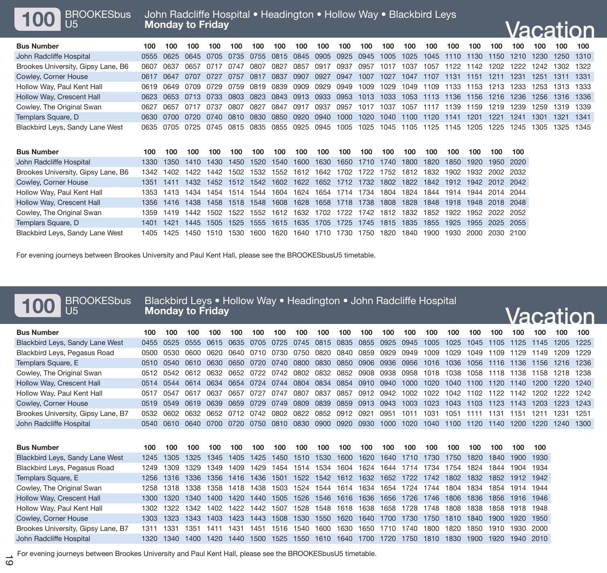| 100 BROOKESbus |
|----------------|
|                |

# Vacation

| <b>Bus Number</b>                  | 100. | 100       | 100  | 100                      | 100 | 100 | 100 100 | 100 | 100 | 100                                                                                                      | 100 100 | 100 | 100 | 100                                     | 100 100 | 100    |                | 100 100 |
|------------------------------------|------|-----------|------|--------------------------|-----|-----|---------|-----|-----|----------------------------------------------------------------------------------------------------------|---------|-----|-----|-----------------------------------------|---------|--------|----------------|---------|
| John Radcliffe Hospital            |      |           |      |                          |     |     |         |     |     | 0555 0625 0645 0705 0735 0755 0815 0845 0905 0925 0945 1005 1025 1045 1110 1130 1150 1210 1230           |         |     |     |                                         |         |        | 1250 1310      |         |
| Brookes University, Gipsy Lane, B6 |      | 0607 0637 |      | 0657 0717 0747 0807 0827 |     |     |         |     |     | 0857 0917 0937 0957 1017 1037                                                                            |         |     |     | 1057 1122 1142 1202 1222 1242 1302 1322 |         |        |                |         |
| Cowley, Corner House               |      | 0617 0647 | 0707 |                          |     |     |         |     |     | 0727 0757 0817 0837 0907 0927 0947 1007 1027 1047 1107 1131 1151 1211 1231                               |         |     |     |                                         |         |        | 1251 1311 1331 |         |
| Hollow Way, Paul Kent Hall         |      |           |      |                          |     |     |         |     |     | 0619 0649 0709 0729 0759 0819 0839 0909 0929 0949 1009 1029 1049 1109 1133 1153 1213 1233 1253 1313 1333 |         |     |     |                                         |         |        |                |         |
| Hollow Way, Crescent Hall          |      |           |      |                          |     |     |         |     |     | 0623 0653 0713 0733 0803 0823 0843 0913 0933 0953 1013 1033 1053 1113 1136 1156 1216 1236 1256 1316 1336 |         |     |     |                                         |         |        |                |         |
| Cowley, The Original Swan          |      | 0627 0657 |      | 0717 0737 0807 0827 0847 |     |     |         |     |     | 0917 0937 0957 1017 1037 1057 1117 1139 1159 1219 1239 1259 1319 1339                                    |         |     |     |                                         |         |        |                |         |
| Templars Square, D                 |      |           |      |                          |     |     |         |     |     | 0630 0700 0720 0740 0810 0830 0850 0920 0940 1000 1020 1040 1100 1120 1141 1201 1221 1241                |         |     |     |                                         |         | - 1301 | 1321 1341      |         |
| Blackbird Leys, Sandy Lane West    |      |           |      |                          |     |     |         |     |     | 0635 0705 0725 0745 0815 0835 0855 0925 0945 1005 1025 1045 1105 1125 1145 1205 1225 1245 1305 1325 1345 |         |     |     |                                         |         |        |                |         |
|                                    |      |           |      |                          |     |     |         |     |     |                                                                                                          |         |     |     |                                         |         |        |                |         |

| <b>Bus Number</b>                  | 100.      | 100       | 100                                                                             | 100  | 100  | 100                                | 100  | 100  | 100  | 100            | 100  | 100  | 100   | 100                                | 100  | 100            | 100       | 100 |
|------------------------------------|-----------|-----------|---------------------------------------------------------------------------------|------|------|------------------------------------|------|------|------|----------------|------|------|-------|------------------------------------|------|----------------|-----------|-----|
| John Radcliffe Hospital            | 1330.     | 1350      | 1410 1430                                                                       |      | 1450 | 1520 1540                          |      | 1600 | 1630 | 1650 1710      |      | 1740 | 1800  | 1820                               | 1850 | 1920           | 1950 2020 |     |
| Brookes University, Gipsy Lane, B6 |           |           | 1342 1402 1422 1442 1502 1532 1552 1612 1642 1702 1722 1752 1812 1832 1902      |      |      |                                    |      |      |      |                |      |      |       |                                    |      | 1932 2002 2032 |           |     |
| Cowley, Corner House               |           | 1351 1411 | 1432 1452 1512 1542 1602 1622 1652 1712 1732 1802 1822 1842 1912 1942 2012 2042 |      |      |                                    |      |      |      |                |      |      |       |                                    |      |                |           |     |
| Hollow Way, Paul Kent Hall         |           |           | 1353 1413 1434 1454 1514 1544 1604 1624 1654 1714 1734 1804 1824 1844 1914      |      |      |                                    |      |      |      |                |      |      |       |                                    |      | 1944           | 2014 2044 |     |
| Hollow Way, Crescent Hall          |           | 1356 1416 | 1438 1458 1518 1548 1608 1628                                                   |      |      |                                    |      |      |      |                |      |      |       | 1658 1718 1738 1808 1828 1848 1918 |      | 1948 2018 2048 |           |     |
| Cowley, The Original Swan          |           |           | 1359 1419 1442 1502 1522 1552 1612 1632                                         |      |      |                                    |      |      |      |                |      |      |       | 1702 1722 1742 1812 1832 1852 1922 |      | 1952 2022 2052 |           |     |
| Templars Square, D                 | 1401 1421 |           |                                                                                 |      |      | 1445 1505 1525 1555 1615 1635 1705 |      |      |      | 1725 1745 1815 |      |      |       | 1835 1855                          | 1925 | 1955           | 2025 2055 |     |
| Blackbird Leys, Sandy Lane West    |           | 1405 1425 | 1450                                                                            | 1510 | 1530 | 1600                               | 1620 | 1640 | 1710 | 1730           | 1750 | 1820 | 1840. | 1900.                              | 1930 | 2000           | 2030 2100 |     |

For evening journeys between Brookes University and Paul Kent Hall, please see the BROOKESbusU5 timetable.

| <b>BROOKESbus</b><br>U <sub>5</sub> |      | <b>Monday to Friday</b> |      |      |      |      |      |      |      |      |      |      |      | Blackbird Leys • Hollow Way • Headington • John Radcliffe Hospital |      |      |      |      |      |      | Vacation |
|-------------------------------------|------|-------------------------|------|------|------|------|------|------|------|------|------|------|------|--------------------------------------------------------------------|------|------|------|------|------|------|----------|
| <b>Bus Number</b>                   | 100  | 100                     | 100  | 100  | 100  | 100  | 100  | 100  | 100  | 100  | 100  | 100  | 100  | 100                                                                | 100  | 100  | 100  | 100  | 100  | 100  | 100      |
| Blackbird Leys, Sandy Lane West     | 0455 | 0525                    | 0555 | 0615 | 0635 | 0705 | 0725 | 0745 | 0815 | 0835 | 0855 | 0925 | 0945 | 1005                                                               | 1025 | 1045 | 1105 | 1125 | 1145 | 1205 | 1225     |
| Blackbird Leys, Pegasus Road        | 0500 | 0530                    | 0600 | 0620 | 0640 | 0710 | 0730 | 0750 | 0820 | 0840 | 0859 | 0929 | 0949 | 1009                                                               | 1029 | 1049 | 1109 | 1129 | 1149 | 1209 | 1229     |
| Templars Square, E                  | 0510 | 0540                    | 0610 | 0630 | 0650 | 0720 | 0740 | 0800 | 0830 | 0850 | 0906 | 0936 | 0956 | 1016                                                               | 1036 | 1056 | 1116 | 1136 | 1156 | 1216 | 1236     |
| Cowley, The Original Swan           | 0512 | 0542                    | 0612 | 0632 | 0652 | 0722 | 0742 | 0802 | 0832 | 0852 | 0908 | 0938 | 0958 | 1018                                                               | 1038 | 1058 | 1118 | 1138 | 1158 | 1218 | 1238     |
| Hollow Way, Crescent Hall           | 0514 | 0544                    | 0614 | 0634 | 0654 | 0724 | 0744 | 0804 | 0834 | 0854 | 0910 | 0940 | 1000 | 1020                                                               | 1040 | 1100 | 1120 | 1140 | 1200 | 1220 | 1240     |
| Hollow Way, Paul Kent Hall          | 0517 | 0547                    | 0617 | 0637 | 0657 | 0727 | 0747 | 0807 | 0837 | 0857 | 0912 | 0942 | 1002 | 1022                                                               | 1042 | 1102 | 1122 | 1142 | 1202 | 1222 | 1242     |
| Cowley, Corner House                | 0519 | 0549                    | 0619 | 0639 | 0659 | 0729 | 0749 | 0809 | 0839 | 0859 | 0913 | 0943 | 1003 | 1023                                                               | 1043 | 1103 | 1123 | 1143 | 1203 | 1223 | 1243     |
| Brookes University, Gipsy Lane, B7  | 0532 | 0602                    | 0632 | 0652 | 0712 | 0742 | 0802 | 0822 | 0852 | 0912 | 0921 | 0951 | 1011 | 1031                                                               | 1051 | 1111 | 1131 | 1151 | 1211 | 1231 | 1251     |
| John Radcliffe Hospital             | 0540 | 0610                    | 0640 | 0700 | 0720 | 0750 | 0810 | 0830 | 0900 | 0920 | 0930 | 1000 | 1020 | 1040                                                               | 1100 | 1120 | 1140 | 1200 | 1220 | 1240 | 1300     |
|                                     |      |                         |      |      |      |      |      |      |      |      |      |      |      |                                                                    |      |      |      |      |      |      |          |
| <b>Bus Number</b>                   | 100  | 100                     | 100  | 100  | 100  | 100  | 100  | 100  | 100  | 100  | 100  | 100  | 100  | 100                                                                | 100  | 100  | 100  | 100  | 100  |      |          |
| Blackbird Leys, Sandy Lane West     | 1245 | 1305                    | 325  | 1345 | 1405 | 1425 | 1450 | 1510 | 1530 | 1600 | 1620 | 1640 | 1710 | 1730                                                               | 1750 | 1820 | 1840 | 1900 | 1930 |      |          |
| Blackbird Leys, Pegasus Road        | 1249 | 1309                    | 329  | 1349 | 1409 | 1429 | 1454 | 1514 | 1534 | 1604 | 1624 | 1644 | 1714 | 1734                                                               | 1754 | 1824 | 1844 | 1904 | 1934 |      |          |
| Templars Square, E                  | 1256 | 1316                    | 1336 | 1356 | 1416 | 1436 | 1501 | 1522 | 1542 | 1612 | 1632 | 1652 | 1722 | 1742                                                               | 1802 | 1832 | 1852 | 1912 | 1942 |      |          |
| Cowley, The Original Swan           | 1258 | 1318                    | 338  | 1358 | 1418 | 1438 | 1503 | 1524 | 1544 | 1614 | 1634 | 1654 | 1724 | 1744                                                               | 1804 | 1834 | 1854 | 1914 | 1944 |      |          |
| Hollow Way, Crescent Hall           | 1300 | 1320                    | 1340 | 1400 | 1420 | 1440 | 1505 | 1526 | 1546 | 1616 | 1636 | 1656 | 1726 | 1746                                                               | 1806 | 1836 | 1856 | 1916 | 1946 |      |          |
| Hollow Way, Paul Kent Hall          | 1302 | 1322                    | 342  | 1402 | 1422 | 1442 | 1507 | 1528 | 1548 | 1618 | 1638 | 1658 | 1728 | 1748                                                               | 808  | 1838 | 1858 | 1918 | 1948 |      |          |
| Cowley, Corner House                | 1303 | 1323                    | 1343 | 1403 | 1423 | 1443 | 1508 | 1530 | 1550 | 1620 | 1640 | 1700 | 1730 | 1750                                                               | 1810 | 1840 | 1900 | 1920 | 1950 |      |          |
| Brookes University, Gipsy Lane, B7  | 1311 | 1331                    | 1351 | 1411 | 1431 | 1451 | 1516 | 1540 | 1600 | 1630 | 1650 | 1710 | 1740 | 1800                                                               | 1820 | 1850 | 1910 | 1930 | 2000 |      |          |
| John Radcliffe Hospital             | 1320 | 1340                    | 1400 | 1420 | 1440 | 1500 | 1525 | 1550 | 1610 | 1640 | 1700 | 1720 | 1750 | 1810                                                               | 1830 | 1900 | 1920 | 1940 | 2010 |      |          |
|                                     |      |                         |      |      |      |      |      |      |      |      |      |      |      |                                                                    |      |      |      |      |      |      |          |

For evening journeys between Brookes University and Paul Kent Hall, please see the BROOKESbusU5 timetable.<br>
0